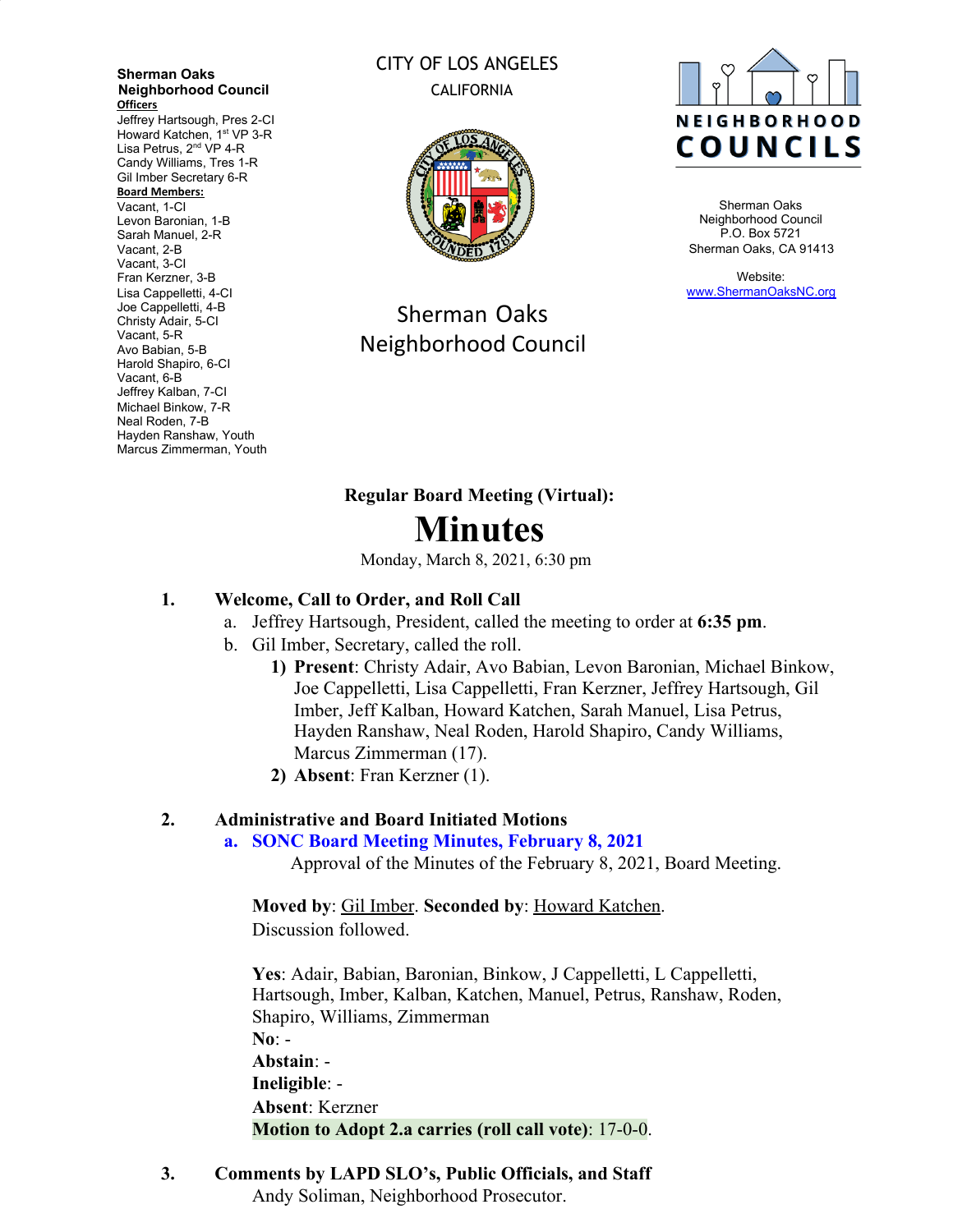**Sherman Oaks Neighborhood Council Officers**

Jeffrey Hartsough, Pres 2-CI Howard Katchen, 1<sup>st</sup> VP 3-R Lisa Petrus, 2<sup>nd</sup> VP 4-R Candy Williams, Tres 1-R Gil Imber Secretary 6-R **Board Members:** Vacant, 1-CI Levon Baronian, 1-B Sarah Manuel, 2-R

Vacant, 2-B Vacant, 3-CI Fran Kerzner, 3-B Lisa Cappelletti, 4-CI Joe Cappelletti, 4-B Christy Adair, 5-CI Vacant, 5-R Avo Babian, 5-B Harold Shapiro, 6-CI Vacant, 6-B Jeffrey Kalban, 7-CI Michael Binkow, 7-R Neal Roden, 7-B Hayden Ranshaw, Youth Marcus Zimmerman, Youth

# CITY OF LOS ANGELES CALIFORNIA



Sherman Oaks Neighborhood Council



Sherman Oaks Neighborhood Council P.O. Box 5721 Sherman Oaks, CA 91413

Website: [www.ShermanOaksNC.org](http://www.shermanoaksnc.org/)

# **Regular Board Meeting (Virtual): Minutes**

Monday, March 8, 2021, 6:30 pm

# **1. Welcome, Call to Order, and Roll Call**

- a. Jeffrey Hartsough, President, called the meeting to order at **6:35 pm**.
- b. Gil Imber, Secretary, called the roll.
	- **1) Present**: Christy Adair, Avo Babian, Levon Baronian, Michael Binkow, Joe Cappelletti, Lisa Cappelletti, Fran Kerzner, Jeffrey Hartsough, Gil Imber, Jeff Kalban, Howard Katchen, Sarah Manuel, Lisa Petrus, Hayden Ranshaw, Neal Roden, Harold Shapiro, Candy Williams, Marcus Zimmerman (17).
	- **2) Absent**: Fran Kerzner (1).

# **2. Administrative and Board Initiated Motions**

#### **a. SONC Board Meeting Minutes, February 8, 2021**

Approval of the Minutes of the February 8, 2021, Board Meeting.

**Moved by**: Gil Imber. **Seconded by**: Howard Katchen. Discussion followed.

**Yes**: Adair, Babian, Baronian, Binkow, J Cappelletti, L Cappelletti, Hartsough, Imber, Kalban, Katchen, Manuel, Petrus, Ranshaw, Roden, Shapiro, Williams, Zimmerman **No**: - **Abstain**: - **Ineligible**: - **Absent**: Kerzner **Motion to Adopt 2.a carries (roll call vote)**: 17-0-0.

**3. Comments by LAPD SLO's, Public Officials, and Staff** Andy Soliman, Neighborhood Prosecutor.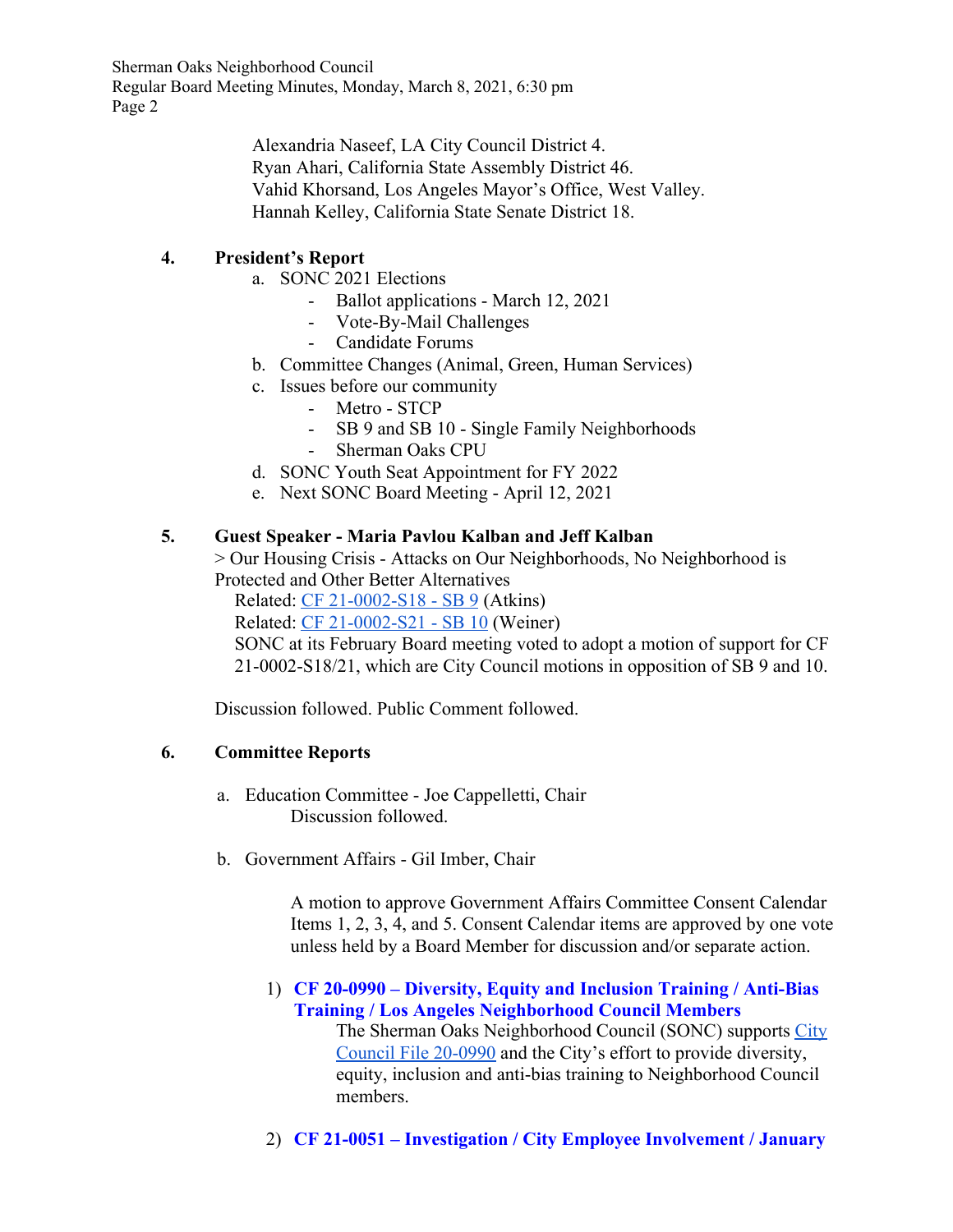> Alexandria Naseef, LA City Council District 4. Ryan Ahari, California State Assembly District 46. Vahid Khorsand, Los Angeles Mayor's Office, West Valley. Hannah Kelley, California State Senate District 18.

# **4. President's Report**

- a. SONC 2021 Elections
	- Ballot applications March 12, 2021
	- Vote-By-Mail Challenges
	- Candidate Forums
- b. Committee Changes (Animal, Green, Human Services)
- c. Issues before our community
	- Metro STCP
	- SB 9 and SB 10 Single Family Neighborhoods
	- Sherman Oaks CPU
- d. SONC Youth Seat Appointment for FY 2022
- e. Next SONC Board Meeting April 12, 2021

## **5. Guest Speaker - Maria Pavlou Kalban and Jeff Kalban**

> Our Housing Crisis - Attacks on Our Neighborhoods, No Neighborhood is Protected and Other Better Alternatives

Related: [CF 21-0002-S18 - SB 9](https://cityclerk.lacity.org/lacityclerkconnect/index.cfm?fa=ccfi.viewrecord&cfnumber=21-0002-S18) (Atkins)

Related: [CF 21-0002-S21 - SB 10](https://cityclerk.lacity.org/lacityclerkconnect/index.cfm?fa=ccfi.viewrecord&cfnumber=21-0002-S21) (Weiner)

SONC at its February Board meeting voted to adopt a motion of support for CF 21-0002-S18/21, which are City Council motions in opposition of SB 9 and 10.

Discussion followed. Public Comment followed.

#### **6. Committee Reports**

- a. Education Committee Joe Cappelletti, Chair Discussion followed.
- b. Government Affairs Gil Imber, Chair

A motion to approve Government Affairs Committee Consent Calendar Items 1, 2, 3, 4, and 5. Consent Calendar items are approved by one vote unless held by a Board Member for discussion and/or separate action.

1) **CF 20-0990 – Diversity, Equity and Inclusion Training / Anti-Bias Training / Los Angeles Neighborhood Council Members**

The Sherman Oaks Neighborhood Council (SONC) supports [City](https://cityclerk.lacity.org/lacityclerkconnect/index.cfm?fa=ccfi.viewrecord&cfnumber=20-0990) [Council File 20-0990](https://cityclerk.lacity.org/lacityclerkconnect/index.cfm?fa=ccfi.viewrecord&cfnumber=20-0990) and the City's effort to provide diversity, equity, inclusion and anti-bias training to Neighborhood Council members.

2) **CF 21-0051 – Investigation / City Employee Involvement / January**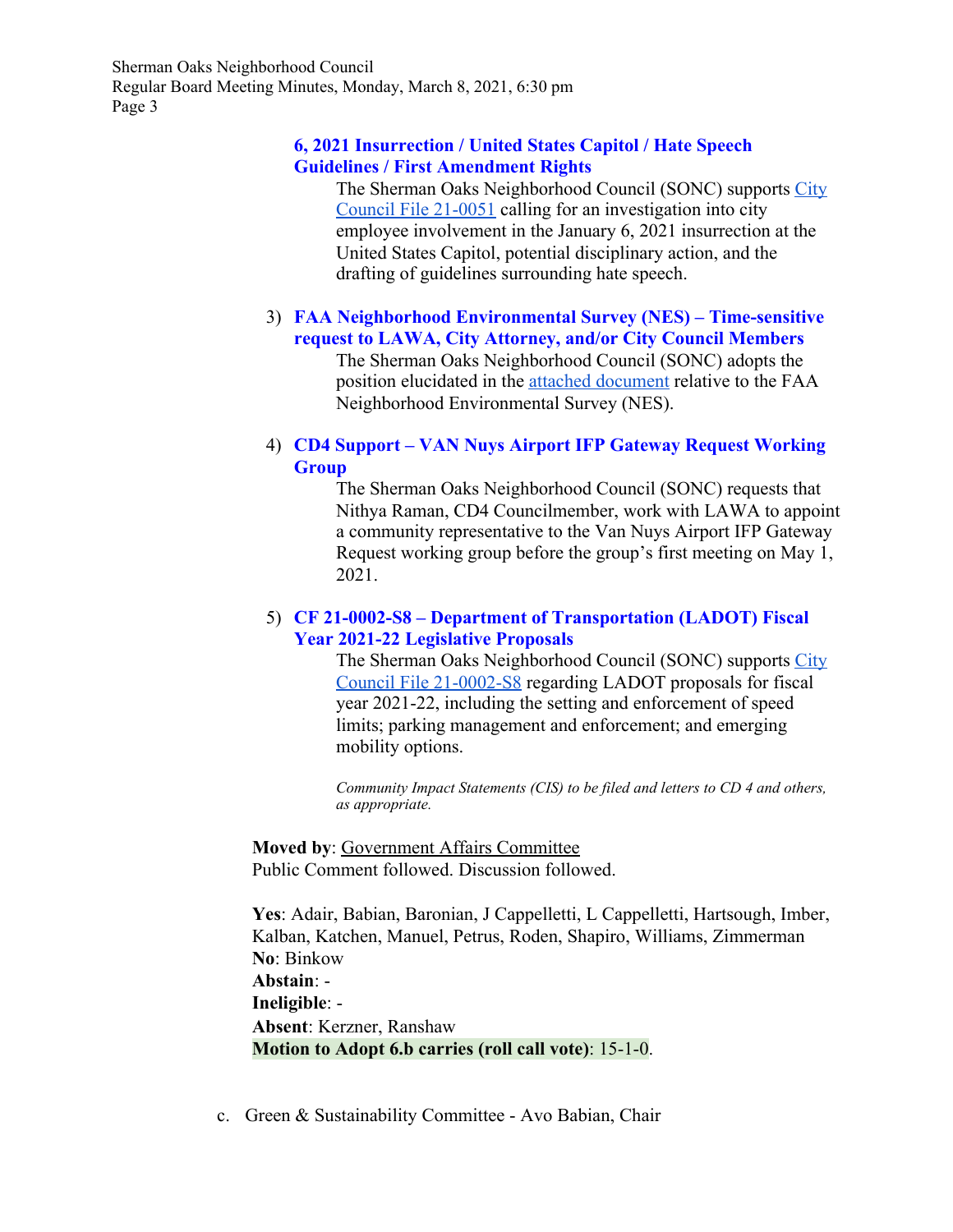#### **6, 2021 Insurrection / United States Capitol / Hate Speech Guidelines / First Amendment Rights**

The Sherman Oaks Neighborhood Council (SONC) supports [City](https://cityclerk.lacity.org/lacityclerkconnect/index.cfm?fa=ccfi.viewrecord&cfnumber=21-0051) [Council File 21-0051](https://cityclerk.lacity.org/lacityclerkconnect/index.cfm?fa=ccfi.viewrecord&cfnumber=21-0051) calling for an investigation into city employee involvement in the January 6, 2021 insurrection at the United States Capitol, potential disciplinary action, and the drafting of guidelines surrounding hate speech.

#### 3) **FAA Neighborhood Environmental Survey (NES) – Time-sensitive request to LAWA, City Attorney, and/or City Council Members**

The Sherman Oaks Neighborhood Council (SONC) adopts the position elucidated in the [attached document](https://www.shermanoaksnc.org/docs/34483777-7624.pdf) relative to the FAA Neighborhood Environmental Survey (NES).

#### 4) **CD4 Support – VAN Nuys Airport IFP Gateway Request Working Group**

The Sherman Oaks Neighborhood Council (SONC) requests that Nithya Raman, CD4 Councilmember, work with LAWA to appoint a community representative to the Van Nuys Airport IFP Gateway Request working group before the group's first meeting on May 1, 2021.

#### 5) **CF 21-0002-S8 – Department of Transportation (LADOT) Fiscal Year 2021-22 Legislative Proposals**

The Sherman Oaks Neighborhood Council (SONC) supports [City](https://cityclerk.lacity.org/lacityclerkconnect/index.cfm?fa=ccfi.viewrecord&cfnumber=21-0002-S8) [Council File 21-0002-S8](https://cityclerk.lacity.org/lacityclerkconnect/index.cfm?fa=ccfi.viewrecord&cfnumber=21-0002-S8) regarding LADOT proposals for fiscal year 2021-22, including the setting and enforcement of speed limits; parking management and enforcement; and emerging mobility options.

*Community Impact Statements (CIS) to be filed and letters to CD 4 and others, as appropriate.*

**Moved by**: Government Affairs Committee Public Comment followed. Discussion followed.

**Yes**: Adair, Babian, Baronian, J Cappelletti, L Cappelletti, Hartsough, Imber, Kalban, Katchen, Manuel, Petrus, Roden, Shapiro, Williams, Zimmerman **No**: Binkow **Abstain**: - **Ineligible**: - **Absent**: Kerzner, Ranshaw **Motion to Adopt 6.b carries (roll call vote)**: 15-1-0.

c. Green & Sustainability Committee - Avo Babian, Chair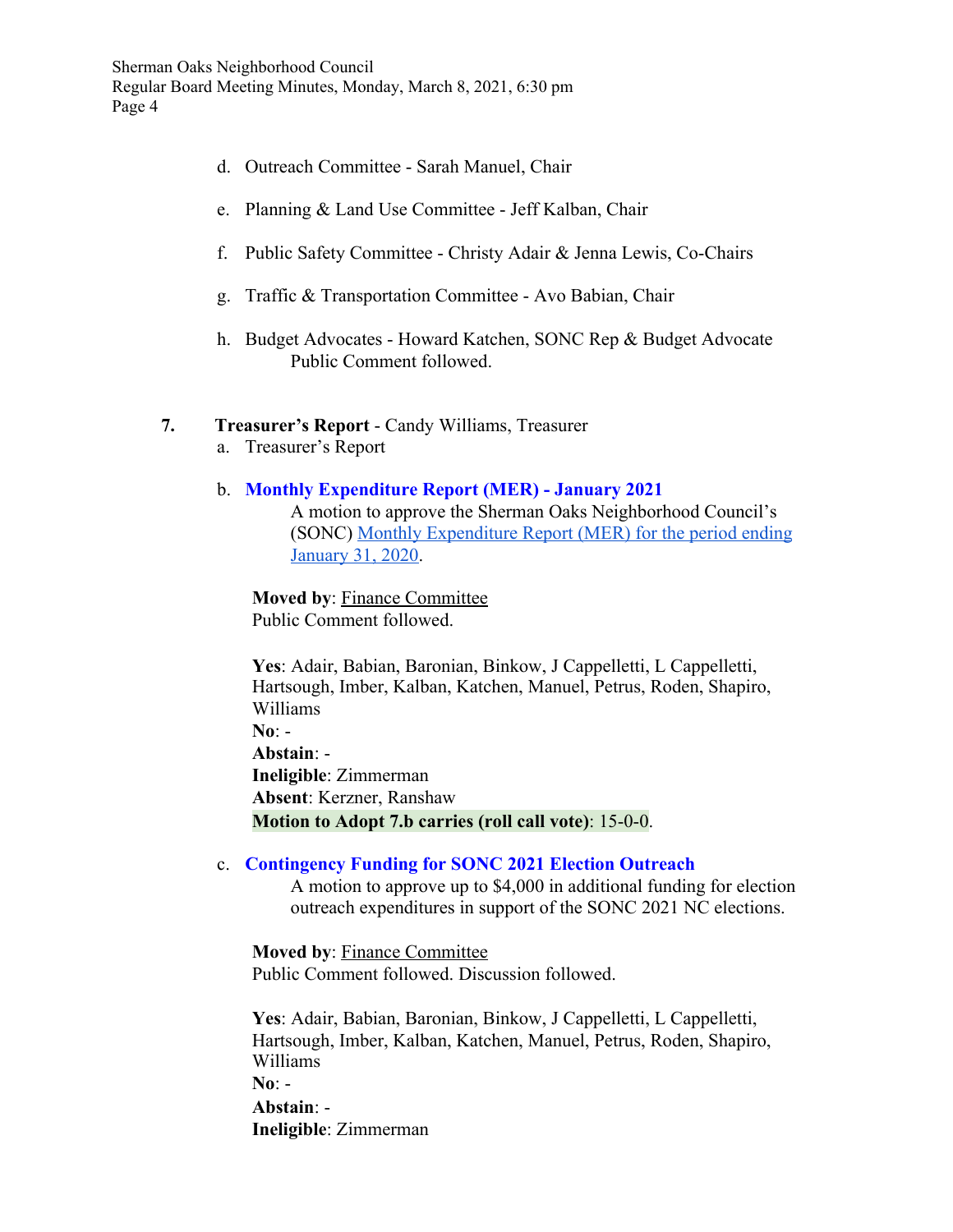- d. Outreach Committee Sarah Manuel, Chair
- e. Planning & Land Use Committee Jeff Kalban, Chair
- f. Public Safety Committee Christy Adair & Jenna Lewis, Co-Chairs
- g. Traffic & Transportation Committee Avo Babian, Chair
- h. Budget Advocates Howard Katchen, SONC Rep & Budget Advocate Public Comment followed.

#### **7. Treasurer's Report** - Candy Williams, Treasurer

a. Treasurer's Report

#### b. **Monthly Expenditure Report (MER) - January 2021**

A motion to approve the Sherman Oaks Neighborhood Council's (SONC) [Monthly Expenditure Report \(MER\) for the period ending](https://www.shermanoaksnc.org/docs/34483777-7623.pdf) [January 31, 2020](https://www.shermanoaksnc.org/docs/34483777-7623.pdf).

**Moved by**: Finance Committee Public Comment followed.

**Yes**: Adair, Babian, Baronian, Binkow, J Cappelletti, L Cappelletti, Hartsough, Imber, Kalban, Katchen, Manuel, Petrus, Roden, Shapiro, Williams **No**: - **Abstain**: - **Ineligible**: Zimmerman **Absent**: Kerzner, Ranshaw **Motion to Adopt 7.b carries (roll call vote)**: 15-0-0.

#### c. **Contingency Funding for SONC 2021 Election Outreach**

A motion to approve up to \$4,000 in additional funding for election outreach expenditures in support of the SONC 2021 NC elections.

**Moved by**: Finance Committee Public Comment followed. Discussion followed.

**Yes**: Adair, Babian, Baronian, Binkow, J Cappelletti, L Cappelletti, Hartsough, Imber, Kalban, Katchen, Manuel, Petrus, Roden, Shapiro, Williams **No**: - **Abstain**: - **Ineligible**: Zimmerman